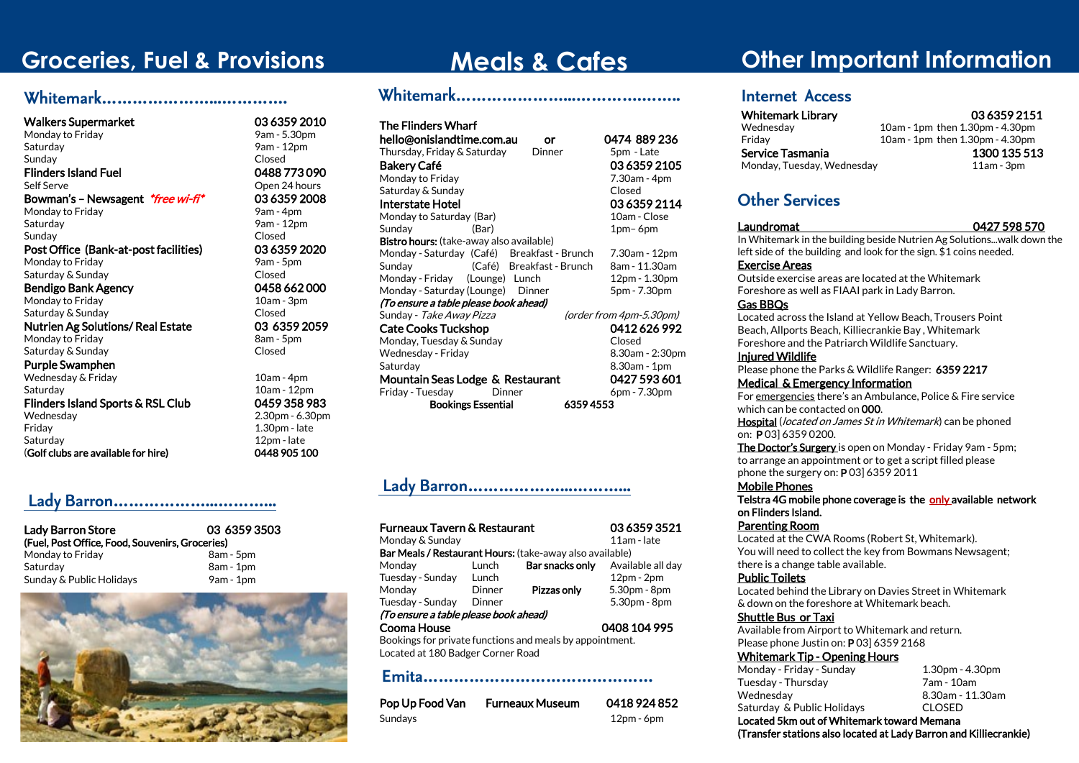# **Groceries, Fuel & Provisions**

### **Whitemark…………………...………….**

### Walkers Supermarket 03 6359 2010

Monday to Friday Saturday 9am - 12pm Sunday **Closed** Flinders Island Fuel 0488 773 090 Self Serve **Constanting Self Serve** Open 24 hours Bowman's – Newsagent \*free wi-fi\* 03 6359 2008 Monday to Friday 8am - 4pm Saturday 9am - 12pm Sunday **Closed** Post Office (Bank-at-post facilities) 03 6359 2020 Monday to Friday 8am - 5pm Saturday & Sunday Closed Bendigo Bank Agency **Canadigo Bank Agency** 662 000

Monday to Friday 10am - 3pm Saturday & Sunday Closed

Nutrien Ag Solutions/ Real Estate 03 6359 2059 Monday to Friday 8am - 5pm Saturday & Sunday Closed

#### Purple Swamphen

Wednesday & Friday 10am - 4pm Saturday 10am - 12pm Flinders Island Sports & RSL Club 0459 358 983 Wednesday 2.30pm - 6.30pm Saturday 12pm - late (Golf clubs are available for hire) 0448 905 100

### **Lady Barron………………...………...**

| Lady Barron Store                               | 03 6359 3503 |  |  |
|-------------------------------------------------|--------------|--|--|
| (Fuel, Post Office, Food, Souvenirs, Groceries) |              |  |  |
| Monday to Friday                                | 8am - 5pm    |  |  |
| Saturdav                                        | $8am - 1dm$  |  |  |
| Sunday & Public Holidays                        | $9am - 1pm$  |  |  |



 $1.30$ pm - late

# **Meals & Cafes Whitemark…………………...………….……..**

| <b>The Flinders Wharf</b>                       |                         |
|-------------------------------------------------|-------------------------|
| hello@onislandtime.com.au<br>or                 | 0474 889 236            |
| Thursday, Friday & Saturday<br>Dinner           | 5pm - Late              |
| Bakery Café                                     | 03 6359 2105            |
| Monday to Friday                                | 7.30am - 4pm            |
| Saturday & Sunday                               | Closed                  |
| Interstate Hotel                                | 03 6359 2114            |
| Monday to Saturday (Bar)                        | 10am - Close            |
| Sunday<br>(Bar)                                 | 1pm-6pm                 |
| <b>Bistro hours:</b> (take-away also available) |                         |
| Monday - Saturday (Café) Breakfast - Brunch     | 7.30am - 12pm           |
| (Café) Breakfast - Brunch<br>Sunday             | 8am - 11.30am           |
| Monday-Friday (Lounge) Lunch                    | 12pm - 1.30pm           |
| Monday - Saturday (Lounge) Dinner               | 5pm - 7.30pm            |
| (To ensure a table please book ahead)           |                         |
| Sunday - <i>Take Away Pizza</i>                 | (order from 4pm-5.30pm) |
| <b>Cate Cooks Tuckshop</b>                      | 0412626992              |
| Monday, Tuesday & Sunday                        | Closed                  |
| Wednesday - Friday                              | 8.30am - 2:30pm         |
| Saturday                                        | 8.30am - 1pm            |
| Mountain Seas Lodge & Restaurant                | 0427 593 601            |
| Friday - Tuesday<br>Dinner                      | 6pm - 7.30pm            |
| <b>Bookings Essential</b><br>63594553           |                         |

### **Lady Barron………………...………...**

Furneaux Tavern & Restaurant 03 6359 3521 Monday & Sunday 11am - late Bar Meals / Restaurant Hours: (take-away also available) Monday Lunch Bar snacks only Available all day Tuesday - Sunday Lunch 12pm - 2pm<br>Monday Dinner **Pizzas only** 5.30pm - 8pm Monday Dinner Pizzas only 5.30pm - 8pm

Tuesday - Sunday Dinner 5.30pm - 8pm

(To ensure a table please book ahead)

#### Cooma House 0408 104 995

Bookings for private functions and meals by appointment. Located at 180 Badger Corner Road

#### **Emita………………………………………**

| Pop Up Food Van | <b>Furneaux Museum</b> | 0418 924 852 |
|-----------------|------------------------|--------------|
| Sundays         |                        | $12pm - 6pm$ |

# **Other Important Information**

### **Internet Access**

 Whitemark Library 03 6359 2151 Wednesday 10am - 1pm then 1.30pm - 4.30pm<br>Friday 10am - 1pm then 1.30pm - 4.30pm 10am - 1pm then 1.30pm - 4.30pm Service Tasmania 1300 135 513 Monday, Tuesday, Wednesday 11am - 3pm

**Other Services**

#### Laundromat 0427 598 570

In Whitemark in the building beside Nutrien Ag Solutions...walk down the left side of the building and look for the sign. \$1 coins needed.

#### Exercise Areas

Outside exercise areas are located at the Whitemark Foreshore as well as FIAAI park in Lady Barron.

#### Gas BBQs

Located across the Island at Yellow Beach, Trousers Point Beach, Allports Beach, Killiecrankie Bay , Whitemark Foreshore and the Patriarch Wildlife Sanctuary.

#### Injured Wildlife

Please phone the Parks & Wildlife Ranger: 6359 2217 Medical & Emergency Information

For emergencies there's an Ambulance, Police & Fire service which can be contacted on 000.

Hospital (*located on James St in Whitemark*) can be phoned on: P 03] 6359 0200.

The Doctor's Surgery is open on Monday - Friday 9am - 5pm; to arrange an appointment or to get a script filled please phone the surgery on: P 03] 6359 2011

#### Mobile Phones

Telstra 4G mobile phone coverage is the only available network on Flinders Island.

#### Parenting Room

Located at the CWA Rooms (Robert St, Whitemark). You will need to collect the key from Bowmans Newsagent; there is a change table available.

#### Public Toilets

Located behind the Library on Davies Street in Whitemark & down on the foreshore at Whitemark beach.

#### Shuttle Bus or Taxi

Available from Airport to Whitemark and return. Please phone Justin on: P 03] 6359 2168

#### Whitemark Tip - Opening Hours

| Monday - Friday - Sunday                   | $1.30pm - 4.30pm$ |  |
|--------------------------------------------|-------------------|--|
| Tuesday - Thursday                         | 7am - 10am        |  |
| Wednesdav                                  | 8.30am - 11.30am  |  |
| Saturday & Public Holidays                 | <b>CLOSED</b>     |  |
| Located 5km out of Whitemark toward Memana |                   |  |

(Transfer stations also located at Lady Barron and Killiecrankie)